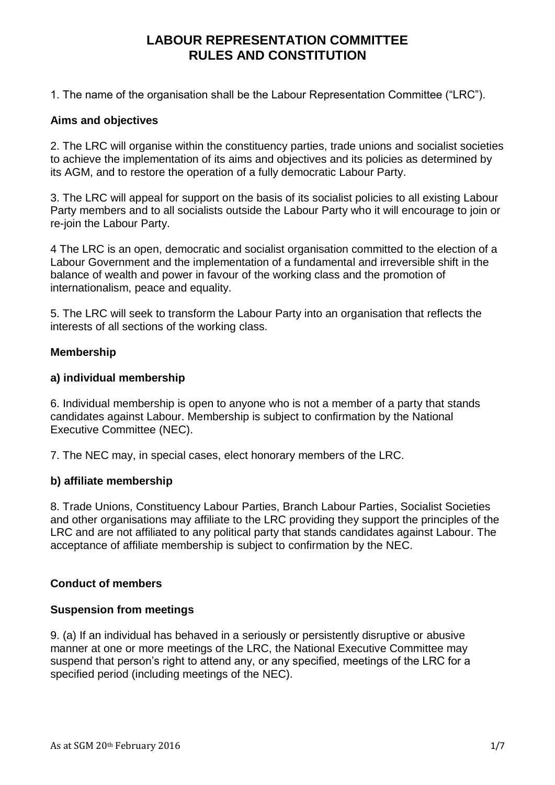1. The name of the organisation shall be the Labour Representation Committee ("LRC").

### **Aims and objectives**

2. The LRC will organise within the constituency parties, trade unions and socialist societies to achieve the implementation of its aims and objectives and its policies as determined by its AGM, and to restore the operation of a fully democratic Labour Party.

3. The LRC will appeal for support on the basis of its socialist policies to all existing Labour Party members and to all socialists outside the Labour Party who it will encourage to join or re-join the Labour Party.

4 The LRC is an open, democratic and socialist organisation committed to the election of a Labour Government and the implementation of a fundamental and irreversible shift in the balance of wealth and power in favour of the working class and the promotion of internationalism, peace and equality.

5. The LRC will seek to transform the Labour Party into an organisation that reflects the interests of all sections of the working class.

### **Membership**

### **a) individual membership**

6. Individual membership is open to anyone who is not a member of a party that stands candidates against Labour. Membership is subject to confirmation by the National Executive Committee (NEC).

7. The NEC may, in special cases, elect honorary members of the LRC.

### **b) affiliate membership**

8. Trade Unions, Constituency Labour Parties, Branch Labour Parties, Socialist Societies and other organisations may affiliate to the LRC providing they support the principles of the LRC and are not affiliated to any political party that stands candidates against Labour. The acceptance of affiliate membership is subject to confirmation by the NEC.

## **Conduct of members**

## **Suspension from meetings**

9. (a) If an individual has behaved in a seriously or persistently disruptive or abusive manner at one or more meetings of the LRC, the National Executive Committee may suspend that person's right to attend any, or any specified, meetings of the LRC for a specified period (including meetings of the NEC).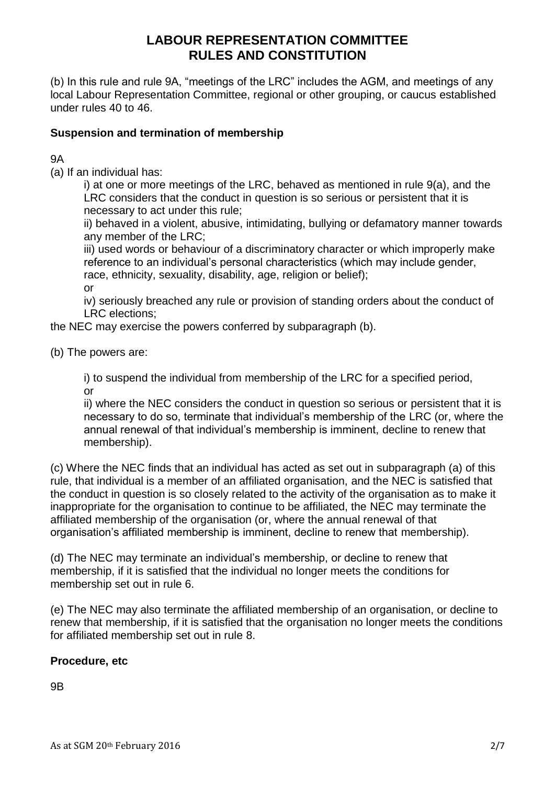(b) In this rule and rule 9A, "meetings of the LRC" includes the AGM, and meetings of any local Labour Representation Committee, regional or other grouping, or caucus established under rules 40 to 46.

### **Suspension and termination of membership**

9A

(a) If an individual has:

i) at one or more meetings of the LRC, behaved as mentioned in rule 9(a), and the LRC considers that the conduct in question is so serious or persistent that it is necessary to act under this rule;

ii) behaved in a violent, abusive, intimidating, bullying or defamatory manner towards any member of the LRC;

iii) used words or behaviour of a discriminatory character or which improperly make reference to an individual's personal characteristics (which may include gender, race, ethnicity, sexuality, disability, age, religion or belief); or

iv) seriously breached any rule or provision of standing orders about the conduct of LRC elections;

the NEC may exercise the powers conferred by subparagraph (b).

(b) The powers are:

i) to suspend the individual from membership of the LRC for a specified period, or

ii) where the NEC considers the conduct in question so serious or persistent that it is necessary to do so, terminate that individual's membership of the LRC (or, where the annual renewal of that individual's membership is imminent, decline to renew that membership).

(c) Where the NEC finds that an individual has acted as set out in subparagraph (a) of this rule, that individual is a member of an affiliated organisation, and the NEC is satisfied that the conduct in question is so closely related to the activity of the organisation as to make it inappropriate for the organisation to continue to be affiliated, the NEC may terminate the affiliated membership of the organisation (or, where the annual renewal of that organisation's affiliated membership is imminent, decline to renew that membership).

(d) The NEC may terminate an individual's membership, or decline to renew that membership, if it is satisfied that the individual no longer meets the conditions for membership set out in rule 6.

(e) The NEC may also terminate the affiliated membership of an organisation, or decline to renew that membership, if it is satisfied that the organisation no longer meets the conditions for affiliated membership set out in rule 8.

## **Procedure, etc**

9B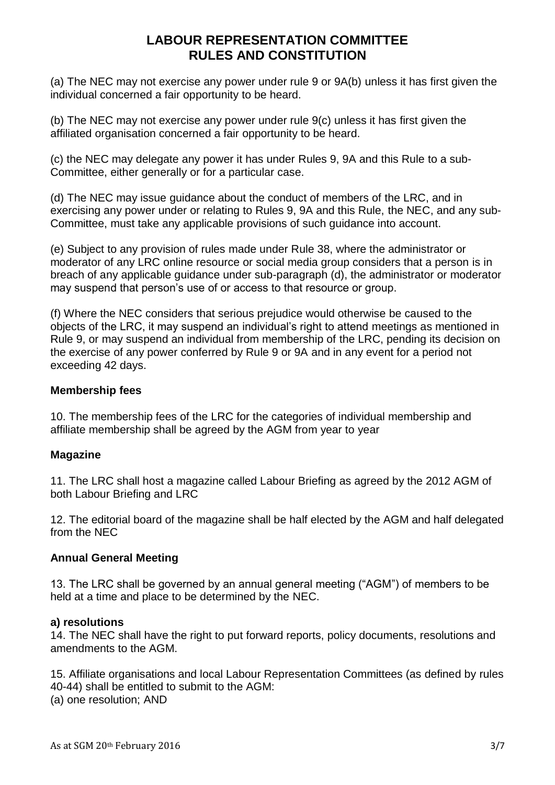(a) The NEC may not exercise any power under rule 9 or 9A(b) unless it has first given the individual concerned a fair opportunity to be heard.

(b) The NEC may not exercise any power under rule 9(c) unless it has first given the affiliated organisation concerned a fair opportunity to be heard.

(c) the NEC may delegate any power it has under Rules 9, 9A and this Rule to a sub-Committee, either generally or for a particular case.

(d) The NEC may issue guidance about the conduct of members of the LRC, and in exercising any power under or relating to Rules 9, 9A and this Rule, the NEC, and any sub-Committee, must take any applicable provisions of such guidance into account.

(e) Subject to any provision of rules made under Rule 38, where the administrator or moderator of any LRC online resource or social media group considers that a person is in breach of any applicable guidance under sub-paragraph (d), the administrator or moderator may suspend that person's use of or access to that resource or group.

(f) Where the NEC considers that serious prejudice would otherwise be caused to the objects of the LRC, it may suspend an individual's right to attend meetings as mentioned in Rule 9, or may suspend an individual from membership of the LRC, pending its decision on the exercise of any power conferred by Rule 9 or 9A and in any event for a period not exceeding 42 days.

### **Membership fees**

10. The membership fees of the LRC for the categories of individual membership and affiliate membership shall be agreed by the AGM from year to year

### **Magazine**

11. The LRC shall host a magazine called Labour Briefing as agreed by the 2012 AGM of both Labour Briefing and LRC

12. The editorial board of the magazine shall be half elected by the AGM and half delegated from the NEC

### **Annual General Meeting**

13. The LRC shall be governed by an annual general meeting ("AGM") of members to be held at a time and place to be determined by the NEC.

### **a) resolutions**

14. The NEC shall have the right to put forward reports, policy documents, resolutions and amendments to the AGM.

15. Affiliate organisations and local Labour Representation Committees (as defined by rules 40-44) shall be entitled to submit to the AGM: (a) one resolution; AND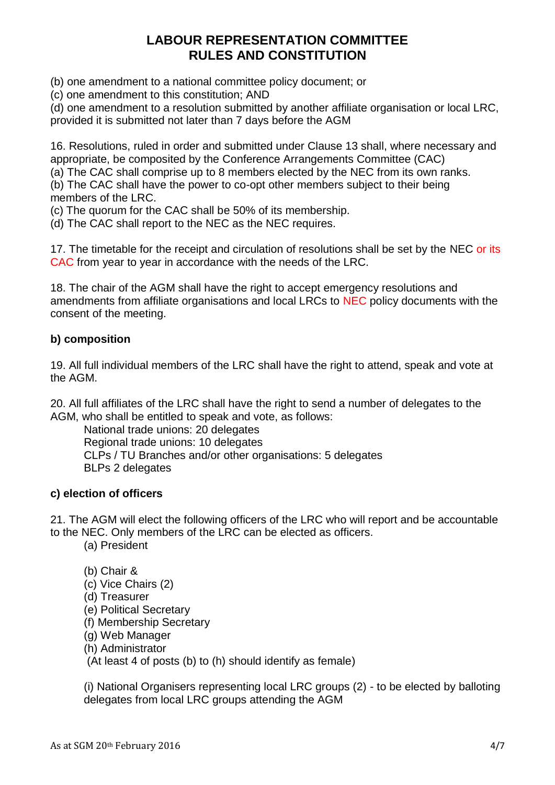(b) one amendment to a national committee policy document; or

(c) one amendment to this constitution; AND

(d) one amendment to a resolution submitted by another affiliate organisation or local LRC, provided it is submitted not later than 7 days before the AGM

16. Resolutions, ruled in order and submitted under Clause 13 shall, where necessary and appropriate, be composited by the Conference Arrangements Committee (CAC)

(a) The CAC shall comprise up to 8 members elected by the NEC from its own ranks.

(b) The CAC shall have the power to co-opt other members subject to their being members of the LRC.

(c) The quorum for the CAC shall be 50% of its membership.

(d) The CAC shall report to the NEC as the NEC requires.

17. The timetable for the receipt and circulation of resolutions shall be set by the NEC or its CAC from year to year in accordance with the needs of the LRC.

18. The chair of the AGM shall have the right to accept emergency resolutions and amendments from affiliate organisations and local LRCs to NEC policy documents with the consent of the meeting.

# **b) composition**

19. All full individual members of the LRC shall have the right to attend, speak and vote at the AGM.

20. All full affiliates of the LRC shall have the right to send a number of delegates to the AGM, who shall be entitled to speak and vote, as follows:

National trade unions: 20 delegates Regional trade unions: 10 delegates CLPs / TU Branches and/or other organisations: 5 delegates BLPs 2 delegates

## **c) election of officers**

21. The AGM will elect the following officers of the LRC who will report and be accountable to the NEC. Only members of the LRC can be elected as officers.

(a) President

(b) Chair & (c) Vice Chairs (2) (d) Treasurer (e) Political Secretary (f) Membership Secretary (g) Web Manager (h) Administrator

(At least 4 of posts (b) to (h) should identify as female)

(i) National Organisers representing local LRC groups (2) - to be elected by balloting delegates from local LRC groups attending the AGM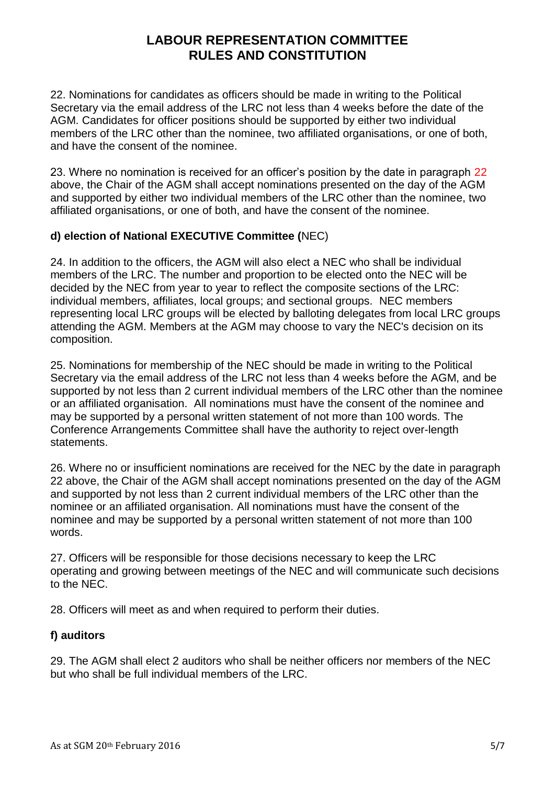22. Nominations for candidates as officers should be made in writing to the Political Secretary via the email address of the LRC not less than 4 weeks before the date of the AGM. Candidates for officer positions should be supported by either two individual members of the LRC other than the nominee, two affiliated organisations, or one of both, and have the consent of the nominee.

23. Where no nomination is received for an officer's position by the date in paragraph 22 above, the Chair of the AGM shall accept nominations presented on the day of the AGM and supported by either two individual members of the LRC other than the nominee, two affiliated organisations, or one of both, and have the consent of the nominee.

## **d) election of National EXECUTIVE Committee (**NEC)

24. In addition to the officers, the AGM will also elect a NEC who shall be individual members of the LRC. The number and proportion to be elected onto the NEC will be decided by the NEC from year to year to reflect the composite sections of the LRC: individual members, affiliates, local groups; and sectional groups. NEC members representing local LRC groups will be elected by balloting delegates from local LRC groups attending the AGM. Members at the AGM may choose to vary the NEC's decision on its composition.

25. Nominations for membership of the NEC should be made in writing to the Political Secretary via the email address of the LRC not less than 4 weeks before the AGM, and be supported by not less than 2 current individual members of the LRC other than the nominee or an affiliated organisation. All nominations must have the consent of the nominee and may be supported by a personal written statement of not more than 100 words. The Conference Arrangements Committee shall have the authority to reject over-length statements.

26. Where no or insufficient nominations are received for the NEC by the date in paragraph 22 above, the Chair of the AGM shall accept nominations presented on the day of the AGM and supported by not less than 2 current individual members of the LRC other than the nominee or an affiliated organisation. All nominations must have the consent of the nominee and may be supported by a personal written statement of not more than 100 words.

27. Officers will be responsible for those decisions necessary to keep the LRC operating and growing between meetings of the NEC and will communicate such decisions to the NEC.

28. Officers will meet as and when required to perform their duties.

### **f) auditors**

29. The AGM shall elect 2 auditors who shall be neither officers nor members of the NEC but who shall be full individual members of the LRC.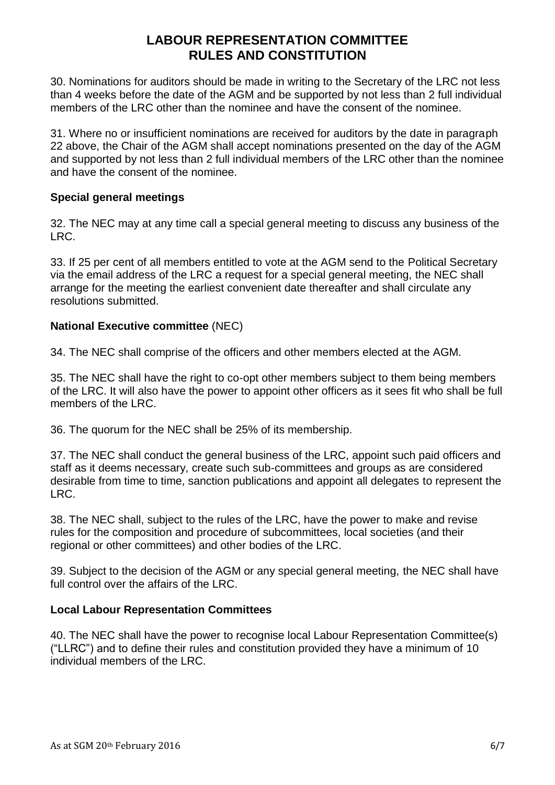30. Nominations for auditors should be made in writing to the Secretary of the LRC not less than 4 weeks before the date of the AGM and be supported by not less than 2 full individual members of the LRC other than the nominee and have the consent of the nominee.

31. Where no or insufficient nominations are received for auditors by the date in paragraph 22 above, the Chair of the AGM shall accept nominations presented on the day of the AGM and supported by not less than 2 full individual members of the LRC other than the nominee and have the consent of the nominee.

### **Special general meetings**

32. The NEC may at any time call a special general meeting to discuss any business of the LRC.

33. If 25 per cent of all members entitled to vote at the AGM send to the Political Secretary via the email address of the LRC a request for a special general meeting, the NEC shall arrange for the meeting the earliest convenient date thereafter and shall circulate any resolutions submitted.

### **National Executive committee** (NEC)

34. The NEC shall comprise of the officers and other members elected at the AGM.

35. The NEC shall have the right to co-opt other members subject to them being members of the LRC. It will also have the power to appoint other officers as it sees fit who shall be full members of the LRC.

36. The quorum for the NEC shall be 25% of its membership.

37. The NEC shall conduct the general business of the LRC, appoint such paid officers and staff as it deems necessary, create such sub-committees and groups as are considered desirable from time to time, sanction publications and appoint all delegates to represent the LRC.

38. The NEC shall, subject to the rules of the LRC, have the power to make and revise rules for the composition and procedure of subcommittees, local societies (and their regional or other committees) and other bodies of the LRC.

39. Subject to the decision of the AGM or any special general meeting, the NEC shall have full control over the affairs of the LRC.

## **Local Labour Representation Committees**

40. The NEC shall have the power to recognise local Labour Representation Committee(s) ("LLRC") and to define their rules and constitution provided they have a minimum of 10 individual members of the LRC.